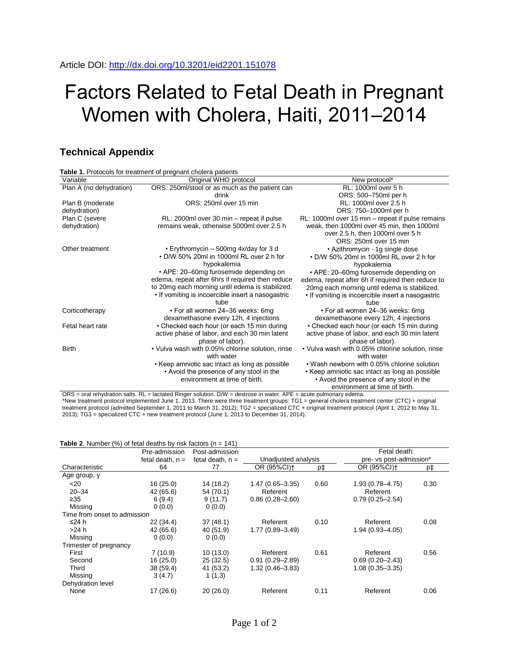## Factors Related to Fetal Death in Pregnant Women with Cholera, Haiti, 2011–2014

## **Technical Appendix**

|                         | Table 1. Protocols for treatment of pregnant cholera patients                                                                                                                                              |                                                                                                                                                                                                          |  |  |  |
|-------------------------|------------------------------------------------------------------------------------------------------------------------------------------------------------------------------------------------------------|----------------------------------------------------------------------------------------------------------------------------------------------------------------------------------------------------------|--|--|--|
| Variable                | Original WHO protocol                                                                                                                                                                                      | New protocol*                                                                                                                                                                                            |  |  |  |
| Plan A (no dehydration) | ORS: 250ml/stool or as much as the patient can                                                                                                                                                             | RL: 1000ml over 5 h                                                                                                                                                                                      |  |  |  |
|                         | drink                                                                                                                                                                                                      | ORS: 500-750ml per h                                                                                                                                                                                     |  |  |  |
| Plan B (moderate        | ORS: 250ml over 15 min                                                                                                                                                                                     | RL: 1000ml over 2.5 h                                                                                                                                                                                    |  |  |  |
| dehydration)            |                                                                                                                                                                                                            | ORS: 750-1000ml per h                                                                                                                                                                                    |  |  |  |
| Plan C (severe          | RL: 2000ml over 30 min – repeat if pulse                                                                                                                                                                   | RL: 1000ml over 15 min – repeat if pulse remains                                                                                                                                                         |  |  |  |
| dehydration)            | remains weak, otherwise 5000ml over 2.5 h                                                                                                                                                                  | weak, then 1000ml over 45 min, then 1000ml<br>over 2.5 h, then 1000ml over 5 h<br>ORS: 250ml over 15 min                                                                                                 |  |  |  |
| Other treatment         | • Erythromycin $-500$ mg 4x/day for 3 d<br>• D/W 50% 20ml in 1000ml RL over 2 h for<br>hypokalemia                                                                                                         | • Azithromycin –1g single dose<br>• D/W 50% 20ml in 1000ml RL over 2 h for<br>hypokalemia                                                                                                                |  |  |  |
|                         | • APE: 20–60mg furosemide depending on<br>edema, repeat after 6hrs if required then reduce<br>to 20mg each morning until edema is stabilized.<br>• If vomiting is incoercible insert a nasogastric<br>tube | • APE: 20–60mg furosemide depending on<br>edema, repeat after 6h if required then reduce to<br>20mg each morning until edema is stabilized.<br>• If vomiting is incoercible insert a nasogastric<br>tube |  |  |  |
| Corticotherapy          | . For all women 24-36 weeks: 6mg<br>dexamethasone every 12h, 4 injections                                                                                                                                  | · For all women 24-36 weeks: 6mg<br>dexamethasone every 12h, 4 injections                                                                                                                                |  |  |  |
| Fetal heart rate        | • Checked each hour (or each 15 min during<br>active phase of labor, and each 30 min latent<br>phase of labor).                                                                                            | • Checked each hour (or each 15 min during<br>active phase of labor, and each 30 min latent<br>phase of labor).                                                                                          |  |  |  |
| <b>Birth</b>            | • Vulva wash with 0.05% chlorine solution, rinse<br>with water                                                                                                                                             | • Vulva wash with 0.05% chlorine solution, rinse<br>with water                                                                                                                                           |  |  |  |
|                         | • Keep amniotic sac intact as long as possible<br>• Avoid the presence of any stool in the<br>environment at time of birth.                                                                                | . Wash newborn with 0.05% chlorine solution<br>• Keep amniotic sac intact as long as possible<br>• Avoid the presence of any stool in the<br>environment at time of birth.                               |  |  |  |

ORS = oral rehydration salts. RL = lactated Ringer solution. D/W = dextrose in water. APE = acute pulmonary edema. \*New treatment protocol implemented June 1, 2013. There were three treatment groups: TG1 = general cholera treatment center (CTC) + original treatment protocol (admitted September 1, 2011 to March 31, 2012); TG2 = specialized CTC + original treatment protocol (April 1, 2012 to May 31, 2013); TG3 = specialized CTC + new treatment protocol (June 1, 2013 to December 31, 2014).

|                              | Pre-admission      | Post-admission     |                         |      | Fetal death:            |      |
|------------------------------|--------------------|--------------------|-------------------------|------|-------------------------|------|
|                              | fetal death, $n =$ | fetal death, $n =$ | Unadjusted analysis     |      | pre- vs post-admission* |      |
| Characteristic               | 64                 | 77                 | OR (95%CI) <sup>+</sup> | p‡   | OR (95%CI) <sup>+</sup> | p‡   |
| Age group, y                 |                    |                    |                         |      |                         |      |
| $<$ 20                       | 16(25.0)           | 14 (18.2)          | $1.47(0.65 - 3.35)$     | 0.60 | $1.93(0.78 - 4.75)$     | 0.30 |
| $20 - 34$                    | 42 (65.6)          | 54 (70.1)          | Referent                |      | Referent                |      |
| $\geq 35$                    | 6(9.4)             | 9(11.7)            | $0.86(0.28 - 2.60)$     |      | $0.79(0.25 - 2.54)$     |      |
| Missing                      | 0(0.0)             | 0(0.0)             |                         |      |                         |      |
| Time from onset to admission |                    |                    |                         |      |                         |      |
| ≤24 h                        | 22(34.4)           | 37(48.1)           | Referent                | 0.10 | Referent                | 0.08 |
| >24 h                        | 42 (65.6)          | 40 (51.9)          | $1.77(0.89 - 3.49)$     |      | $1.94(0.93 - 4.05)$     |      |
| Missing                      | 0(0.0)             | 0(0.0)             |                         |      |                         |      |
| Trimester of pregnancy       |                    |                    |                         |      |                         |      |
| First                        | 7(10.9)            | 10(13.0)           | Referent                | 0.61 | Referent                | 0.56 |
| Second                       | 16(25.0)           | 25(32.5)           | $0.91(0.29 - 2.89)$     |      | $0.69(0.20 - 2.43)$     |      |
| Third                        | 38 (59.4)          | 41 (53.2)          | $1.32(0.46 - 3.83)$     |      | $1.08(0.35 - 3.35)$     |      |
| Missing                      | 3(4.7)             | 1(1.3)             |                         |      |                         |      |
| Dehydration level            |                    |                    |                         |      |                         |      |
| None                         | 17 (26.6)          | 20(26.0)           | Referent                | 0.11 | Referent                | 0.06 |

**Table 2.** Number (%) of fetal deaths by risk factors  $(n = 141)$